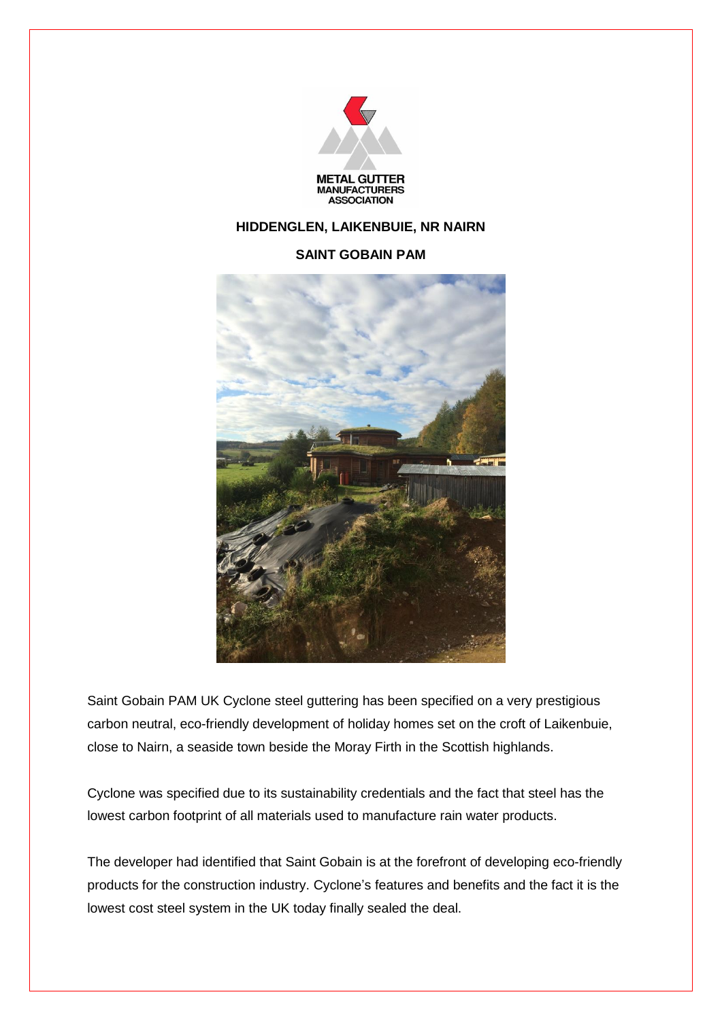

## **HIDDENGLEN, LAIKENBUIE, NR NAIRN**

## **SAINT GOBAIN PAM**



Saint Gobain PAM UK Cyclone steel guttering has been specified on a very prestigious carbon neutral, eco-friendly development of holiday homes set on the croft of Laikenbuie, close to Nairn, a seaside town beside the Moray Firth in the Scottish highlands.

Cyclone was specified due to its sustainability credentials and the fact that steel has the lowest carbon footprint of all materials used to manufacture rain water products.

The developer had identified that Saint Gobain is at the forefront of developing eco-friendly products for the construction industry. Cyclone's features and benefits and the fact it is the lowest cost steel system in the UK today finally sealed the deal.